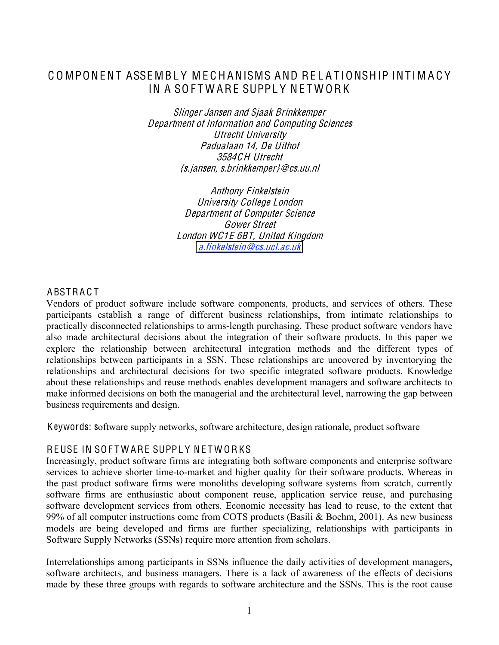# COMPONENT ASSEMBLY MECHANISMS AND RELATIONSHIP INTIMACY IN A SOFTWARE SUPPLY NETWORK

Sling<sup>e</sup><sup>r</sup> Janse<sup>n</sup> and Sjaak Brinkkempe<sup>r</sup> Department <sup>o</sup>f Information and Computing Science<sup>s</sup> Utrecht University Padualaan 14, D<sup>e</sup> Uithof 3584CH Utrecht {<sup>s</sup>.jan<sup>s</sup>en, <sup>s</sup>.brinkkemp<sup>e</sup>r}@cs.uu.nl

> **Anthony Finkelstein** University Colleg<sup>e</sup> London Department <sup>o</sup>f Compute<sup>r</sup> Science Gower Street London WC1E 6BT, United Kingdo<sup>m</sup> a.finkelste[in@](mailto:a.finkelstein@cs.ucl.ac.uk)cs.ucl.ac.uk

# **ABSTRACT**

Vendors of product software include software components, products, and services of others. These participants establish a range of different business relationships, from intimate relationships to practically disconnected relationships to arms-length purchasing. These product software vendors have also made architectural decisions about the integration of their software products. In this paper we explore the relationship between architectural integration methods and the different types of relationships between participants in a SSN. These relationships are uncovered by inventorying the relationships and architectural decisions for two specific integrated software products. Knowledge about these relationships and reuse methods enables development managers and software architects to make informed decisions on both the managerial and the architectural level, narrowing the gap between business requirements and design.

Keywords: software supply networks, software architecture, design rationale, product software

## REUSE IN SOFTWARE SUPPLY NETWORKS

Increasingly, product software firms are integrating both software components and enterprise software services to achieve shorter time-to-market and higher quality for their software products. Whereas in the past product software firms were monoliths developing software systems from scratch, currently software firms are enthusiastic about component reuse, application service reuse, and purchasing software development services from others. Economic necessity has lead to reuse, to the extent that 99% of all computer instructions come from COTS products (Basili & Boehm, 2001). As new business models are being developed and firms are further specializing, relationships with participants in Software Supply Networks (SSNs) require more attention from scholars.

Interrelationships among participants in SSNs influence the daily activities of development managers, software architects, and business managers. There is a lack of awareness of the effects of decisions made by these three groups with regards to software architecture and the SSNs. This is the root cause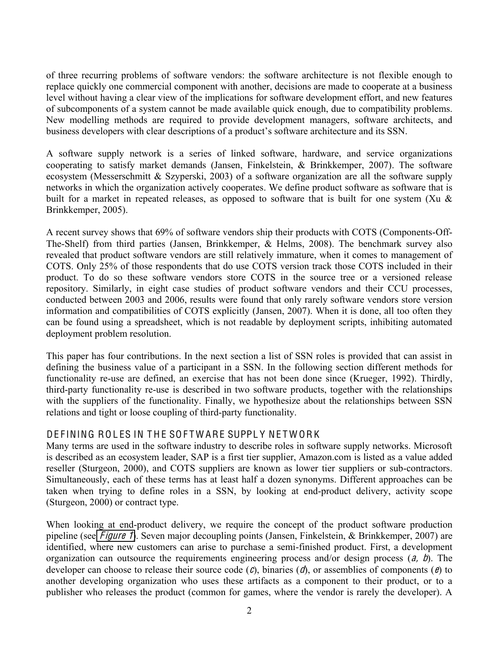of three recurring problems of software vendors: the software architecture is not flexible enough to replace quickly one commercial component with another, decisions are made to cooperate at a business level without having a clear view of the implications for software development effort, and new features of subcomponents of a system cannot be made available quick enough, due to compatibility problems. New modelling methods are required to provide development managers, software architects, and business developers with clear descriptions of a product's software architecture and its SSN.

A software supply network is a series of linked software, hardware, and service organizations cooperating to satisfy market demands (Jansen, Finkelstein, & Brinkkemper, 2007). The software ecosystem (Messerschmitt & Szyperski, 2003) of a software organization are all the software supply networks in which the organization actively cooperates. We define product software as software that is built for a market in repeated releases, as opposed to software that is built for one system (Xu & Brinkkemper, 2005).

A recent survey shows that 69% of software vendors ship their products with COTS (Components-Off-The-Shelf) from third parties (Jansen, Brinkkemper, & Helms, 2008). The benchmark survey also revealed that product software vendors are still relatively immature, when it comes to management of COTS. Only 25% of those respondents that do use COTS version track those COTS included in their product. To do so these software vendors store COTS in the source tree or a versioned release repository. Similarly, in eight case studies of product software vendors and their CCU processes, conducted between 2003 and 2006, results were found that only rarely software vendors store version information and compatibilities of COTS explicitly (Jansen, 2007). When it is done, all too often they can be found using a spreadsheet, which is not readable by deployment scripts, inhibiting automated deployment problem resolution.

This paper has four contributions. In the next section a list of SSN roles is provided that can assist in defining the business value of a participant in a SSN. In the following section different methods for functionality re-use are defined, an exercise that has not been done since (Krueger, 1992). Thirdly, third-party functionality re-use is described in two software products, together with the relationships with the suppliers of the functionality. Finally, we hypothesize about the relationships between SSN relations and tight or loose coupling of third-party functionality.

## DEFINING ROLES IN THE SOFTWARE SUPPLY NETWORK

Many terms are used in the software industry to describe roles in software supply networks. Microsoft is described as an ecosystem leader, SAP is a first tier supplier, Amazon.com is listed as a value added reseller (Sturgeon, 2000), and COTS suppliers are known as lower tier suppliers or sub-contractors. Simultaneously, each of these terms has at least half a dozen synonyms. Different approaches can be taken when trying to define roles in a SSN, by looking at end-product delivery, activity scope (Sturgeon, 2000) or contract type.

When looking at end-product delivery, we require the concept of the product software production pipeline (see *F[igur](#page-2-0)e 1*). Seven major decoupling points (Jansen, Finkelstein, & Brinkkemper, 2007) are identified, where new customers can arise to purchase a semi-finished product. First, a development organization can outsource the requirements engineering process and/or design process  $(a, b)$ . The developer can choose to release their source code  $(c)$ , binaries  $(d)$ , or assemblies of components  $(e)$  to another developing organization who uses these artifacts as a component to their product, or to a publisher who releases the product (common for games, where the vendor is rarely the developer). A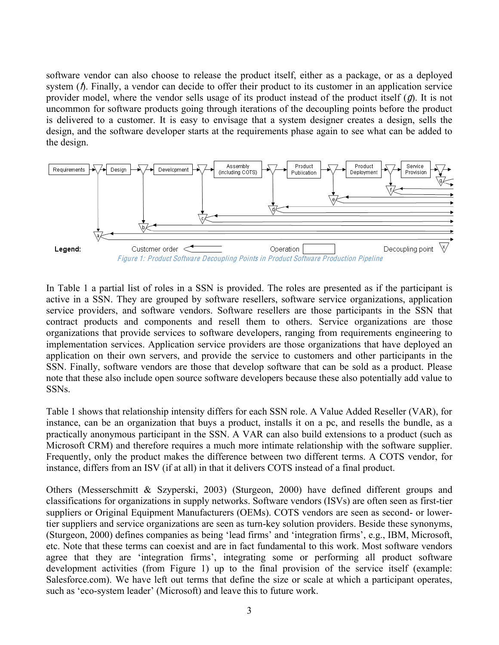software vendor can also choose to release the product itself, either as a package, or as a deployed system ( $\hbar$ ). Finally, a vendor can decide to offer their product to its customer in an application service provider model, where the vendor sells usage of its product instead of the product itself  $(q)$ . It is not uncommon for software products going through iterations of the decoupling points before the product is delivered to a customer. It is easy to envisage that a system designer creates a design, sells the design, and the software developer starts at the requirements phase again to see what can be added to the design.



<span id="page-2-0"></span>In Table 1 a partial list of roles in a SSN is provided. The roles are presented as if the participant is active in a SSN. They are grouped by software resellers, software service organizations, application service providers, and software vendors. Software resellers are those participants in the SSN that contract products and components and resell them to others. Service organizations are those organizations that provide services to software developers, ranging from requirements engineering to implementation services. Application service providers are those organizations that have deployed an application on their own servers, and provide the service to customers and other participants in the SSN. Finally, software vendors are those that develop software that can be sold as a product. Please note that these also include open source software developers because these also potentially add value to SSNs.

Table 1 shows that relationship intensity differs for each SSN role. A Value Added Reseller (VAR), for instance, can be an organization that buys a product, installs it on a pc, and resells the bundle, as a practically anonymous participant in the SSN. A VAR can also build extensions to a product (such as Microsoft CRM) and therefore requires a much more intimate relationship with the software supplier. Frequently, only the product makes the difference between two different terms. A COTS vendor, for instance, differs from an ISV (if at all) in that it delivers COTS instead of a final product.

Others (Messerschmitt & Szyperski, 2003) (Sturgeon, 2000) have defined different groups and classifications for organizations in supply networks. Software vendors (ISVs) are often seen as first-tier suppliers or Original Equipment Manufacturers (OEMs). COTS vendors are seen as second- or lowertier suppliers and service organizations are seen as turn-key solution providers. Beside these synonyms, (Sturgeon, 2000) defines companies as being 'lead firms' and 'integration firms', e.g., IBM, Microsoft, etc. Note that these terms can coexist and are in fact fundamental to this work. Most software vendors agree that they are 'integration firms', integrating some or performing all product software development activities (from Figure 1) up to the final provision of the service itself (example: Salesforce.com). We have left out terms that define the size or scale at which a participant operates, such as 'eco-system leader' (Microsoft) and leave this to future work.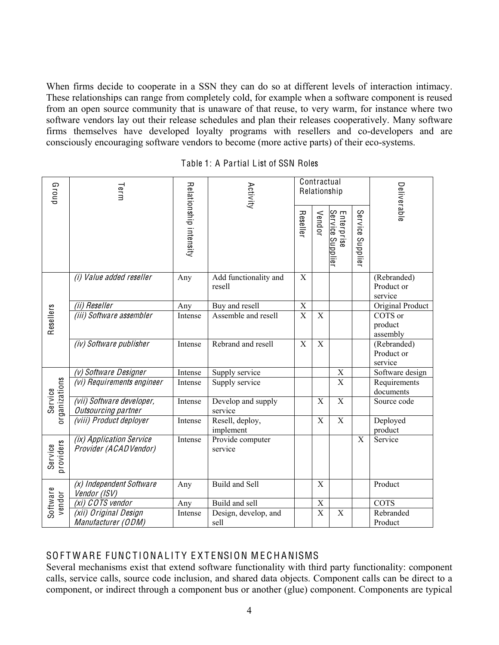When firms decide to cooperate in a SSN they can do so at different levels of interaction intimacy. These relationships can range from completely cold, for example when a software component is reused from an open source community that is unaware of that reuse, to very warm, for instance where two software vendors lay out their release schedules and plan their releases cooperatively. Many software firms themselves have developed loyalty programs with resellers and co-developers and are consciously encouraging software vendors to become (more active parts) of their eco-systems.

| Group                    | Term                                               |                        | Activity                        | Contractual<br>Relationship |                       |                                |                                      | Deliverable                          |  |  |
|--------------------------|----------------------------------------------------|------------------------|---------------------------------|-----------------------------|-----------------------|--------------------------------|--------------------------------------|--------------------------------------|--|--|
|                          |                                                    | Relationship intensity |                                 | Reseller                    | Vendor                | Enterprise<br>Service Supplier | Service<br>Supplie                   |                                      |  |  |
|                          | (i) Value added reseller                           | Any                    | Add functionality and<br>resell | $\mathbf X$                 |                       |                                | (Rebranded)<br>Product or<br>service |                                      |  |  |
|                          | (ii) Reseller                                      | Any                    | Buy and resell                  | $\overline{X}$              |                       |                                |                                      | Original Product                     |  |  |
| Resellers                | (iii) Software assembler                           | Intense                | Assemble and resell             | $\overline{\mathbf{X}}$     | $\mathbf X$           |                                |                                      | COTS or<br>product<br>assembly       |  |  |
|                          | (iv) Software publisher                            | Intense                | Rebrand and resell              | X                           | $\mathbf X$           |                                |                                      | (Rebranded)<br>Product or<br>service |  |  |
|                          | (v) Software Designer                              | Intense                | Supply service                  |                             |                       | $\mathbf X$                    |                                      | Software design                      |  |  |
| organizations<br>Service | (vi) Requirements engineer                         | Intense                | Supply service                  |                             |                       | $\mathbf X$                    |                                      | Requirements<br>documents            |  |  |
|                          | (vii) Software developer,<br>Outsourcing partner   | Intense                | Develop and supply<br>service   |                             | X                     | $\overline{X}$                 |                                      | Source code                          |  |  |
|                          | (viii) Product deployer                            | Intense                | Resell, deploy,<br>implement    |                             | X                     | $\mathbf X$                    |                                      | Deployed<br>product                  |  |  |
| providers<br>Service     | (ix) Application Service<br>Provider (ACAD Vendor) | Intense                | Provide computer<br>service     |                             |                       |                                | X                                    | Service                              |  |  |
|                          | (x) Independent Software<br>Vendor (ISV)           | Any                    | Build and Sell                  |                             | X                     |                                |                                      | Product                              |  |  |
| vendor                   | (xi) COTS vendor                                   | Any                    | Build and sell                  |                             | $\mathbf X$           |                                |                                      | <b>COTS</b>                          |  |  |
| Software                 | (xii) Original Design<br>Manufacturer (ODM)        | Intense                | Design, develop, and<br>sell    |                             | $\overline{\text{X}}$ | $\mathbf X$                    |                                      | Rebranded<br>Product                 |  |  |

Table 1: A Partial List of SSN Roles

## SOFTWARE FUNCTIONALITY EXTENSION MECHANISMS

Several mechanisms exist that extend software functionality with third party functionality: component calls, service calls, source code inclusion, and shared data objects. Component calls can be direct to a component, or indirect through a component bus or another (glue) component. Components are typical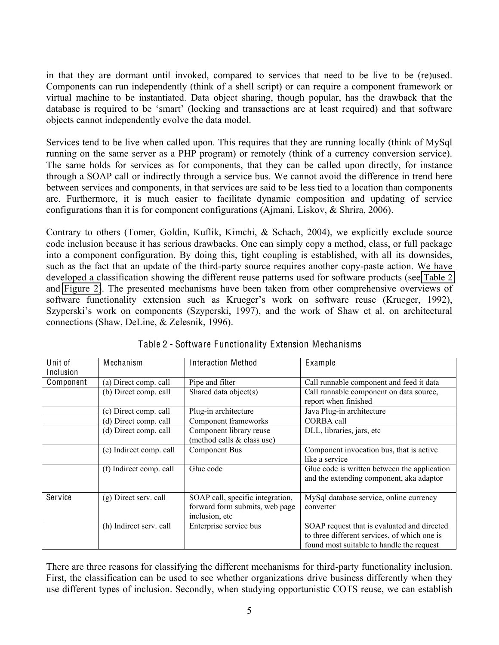in that they are dormant until invoked, compared to services that need to be live to be (re)used. Components can run independently (think of a shell script) or can require a component framework or virtual machine to be instantiated. Data object sharing, though popular, has the drawback that the database is required to be 'smart' (locking and transactions are at least required) and that software objects cannot independently evolve the data model.

Services tend to be live when called upon. This requires that they are running locally (think of MySql running on the same server as a PHP program) or remotely (think of a currency conversion service). The same holds for services as for components, that they can be called upon directly, for instance through a SOAP call or indirectly through a service bus. We cannot avoid the difference in trend here between services and components, in that services are said to be less tied to a location than components are. Furthermore, it is much easier to facilitate dynamic composition and updating of service configurations than it is for component configurations (Ajmani, Liskov, & Shrira, 2006).

Contrary to others (Tomer, Goldin, Kuflik, Kimchi, & Schach, 2004), we explicitly exclude source code inclusion because it has serious drawbacks. One can simply copy a method, class, or full package into a component configuration. By doing this, tight coupling is established, with all its downsides, such as the fact that an update of the third-party source requires another copy-paste action. We have developed a classification showing the different reuse patterns used for software products (see [Table 2](#page-4-0) and [Figure 2\)](#page-5-0). The presented mechanisms have been taken from other comprehensive overviews of software functionality extension such as Krueger's work on software reuse (Krueger, 1992), Szyperski's work on components (Szyperski, 1997), and the work of Shaw et al. on architectural connections (Shaw, DeLine, & Zelesnik, 1996).

<span id="page-4-0"></span>

| Unit of   | Mechanism               | <b>Interaction Method</b>        | Example                                      |
|-----------|-------------------------|----------------------------------|----------------------------------------------|
| Inclusion |                         |                                  |                                              |
| Component | (a) Direct comp. call   | Pipe and filter                  | Call runnable component and feed it data     |
|           | (b) Direct comp. call   | Shared data object(s)            | Call runnable component on data source,      |
|           |                         |                                  | report when finished                         |
|           | (c) Direct comp. call   | Plug-in architecture             | Java Plug-in architecture                    |
|           | (d) Direct comp. call   | Component frameworks             | CORBA call                                   |
|           | (d) Direct comp. call   | Component library reuse          | DLL, libraries, jars, etc                    |
|           |                         | (method calls & class use)       |                                              |
|           | (e) Indirect comp. call | <b>Component Bus</b>             | Component invocation bus, that is active     |
|           |                         |                                  | like a service                               |
|           | (f) Indirect comp. call | Glue code                        | Glue code is written between the application |
|           |                         |                                  | and the extending component, aka adaptor     |
|           |                         |                                  |                                              |
| Service   | $(g)$ Direct serv. call | SOAP call, specific integration, | MySql database service, online currency      |
|           |                         | forward form submits, web page   | converter                                    |
|           |                         | inclusion, etc                   |                                              |
|           | (h) Indirect serv. call | Enterprise service bus           | SOAP request that is evaluated and directed  |
|           |                         |                                  | to three different services, of which one is |
|           |                         |                                  | found most suitable to handle the request    |

Table 2 - Software Functionality Extension Mechanisms

There are three reasons for classifying the different mechanisms for third-party functionality inclusion. First, the classification can be used to see whether organizations drive business differently when they use different types of inclusion. Secondly, when studying opportunistic COTS reuse, we can establish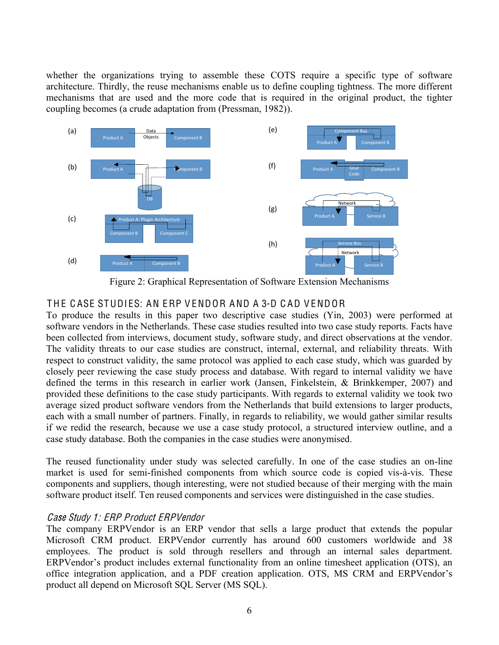whether the organizations trying to assemble these COTS require a specific type of software architecture. Thirdly, the reuse mechanisms enable us to define coupling tightness. The more different mechanisms that are used and the more code that is required in the original product, the tighter coupling becomes (a crude adaptation from (Pressman, 1982)).



Figure 2: Graphical Representation of Software Extension Mechanisms

# <span id="page-5-0"></span>THE CASE STUDIES: AN ERP VENDOR AND A 3-D CAD VENDOR

To produce the results in this paper two descriptive case studies (Yin, 2003) were performed at software vendors in the Netherlands. These case studies resulted into two case study reports. Facts have been collected from interviews, document study, software study, and direct observations at the vendor. The validity threats to our case studies are construct, internal, external, and reliability threats. With respect to construct validity, the same protocol was applied to each case study, which was guarded by closely peer reviewing the case study process and database. With regard to internal validity we have defined the terms in this research in earlier work (Jansen, Finkelstein, & Brinkkemper, 2007) and provided these definitions to the case study participants. With regards to external validity we took two average sized product software vendors from the Netherlands that build extensions to larger products, each with a small number of partners. Finally, in regards to reliability, we would gather similar results if we redid the research, because we use a case study protocol, a structured interview outline, and a case study database. Both the companies in the case studies were anonymised.

The reused functionality under study was selected carefully. In one of the case studies an on-line market is used for semi-finished components from which source code is copied vis-à-vis. These components and suppliers, though interesting, were not studied because of their merging with the main software product itself. Ten reused components and services were distinguished in the case studies.

## Cas<sup>e</sup> Study 1: ERP Product ERPVendor

The company ERPVendor is an ERP vendor that sells a large product that extends the popular Microsoft CRM product. ERPVendor currently has around 600 customers worldwide and 38 employees. The product is sold through resellers and through an internal sales department. ERPVendor's product includes external functionality from an online timesheet application (OTS), an office integration application, and a PDF creation application. OTS, MS CRM and ERPVendor's product all depend on Microsoft SQL Server (MS SQL).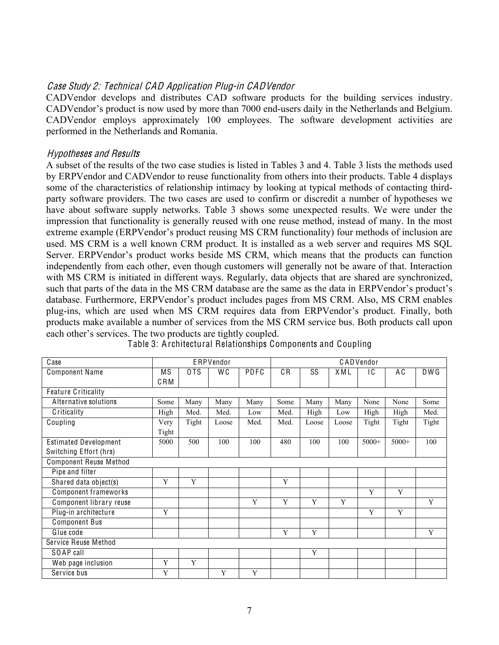#### Cas<sup>e</sup> Study 2: Technical CAD Appli<sup>c</sup>ation Plug-in CADVendor

CADVendor develops and distributes CAD software products for the building services industry. CADVendor's product is now used by more than 7000 end-users daily in the Netherlands and Belgium. CADVendor employs approximately 100 employees. The software development activities are performed in the Netherlands and Romania.

#### Hypothese<sup>s</sup> and Results

A subset of the results of the two case studies is listed in Tables 3 and 4. Table 3 lists the methods used by ERPVendor and CADVendor to reuse functionality from others into their products. Table 4 displays some of the characteristics of relationship intimacy by looking at typical methods of contacting thirdparty software providers. The two cases are used to confirm or discredit a number of hypotheses we have about software supply networks. Table 3 shows some unexpected results. We were under the impression that functionality is generally reused with one reuse method, instead of many. In the most extreme example (ERPVendor's product reusing MS CRM functionality) four methods of inclusion are used. MS CRM is a well known CRM product. It is installed as a web server and requires MS SQL Server. ERPVendor's product works beside MS CRM, which means that the products can function independently from each other, even though customers will generally not be aware of that. Interaction with MS CRM is initiated in different ways. Regularly, data objects that are shared are synchronized, such that parts of the data in the MS CRM database are the same as the data in ERPVendor's product's database. Furthermore, ERPVendor's product includes pages from MS CRM. Also, MS CRM enables plug-ins, which are used when MS CRM requires data from ERPVendor's product. Finally, both products make available a number of services from the MS CRM service bus. Both products call upon each other's services. The two products are tightly coupled.

| Case                          | ERPVendor |       |       |      | CADVendor |       |       |         |         |       |  |
|-------------------------------|-----------|-------|-------|------|-----------|-------|-------|---------|---------|-------|--|
| <b>Component Name</b>         | ΜS        | 0TS   | W C   | PDFC | C R       | SS    | XML   | ١C      | ΑC      | DWG   |  |
|                               | CRM       |       |       |      |           |       |       |         |         |       |  |
| <b>Feature Criticality</b>    |           |       |       |      |           |       |       |         |         |       |  |
| Alternative solutions         | Some      | Many  | Many  | Many | Some      | Many  | Many  | None    | None    | Some  |  |
| Criticality                   | High      | Med.  | Med.  | Low  | Med.      | High  | Low   | High    | High    | Med.  |  |
| Coupling                      | Very      | Tight | Loose | Med. | Med.      | Loose | Loose | Tight   | Tight   | Tight |  |
|                               | Tight     |       |       |      |           |       |       |         |         |       |  |
| <b>Estimated Development</b>  | 5000      | 500   | 100   | 100  | 480       | 100   | 100   | $5000+$ | $5000+$ | 100   |  |
| Switching Effort (hrs)        |           |       |       |      |           |       |       |         |         |       |  |
| <b>Component Reuse Method</b> |           |       |       |      |           |       |       |         |         |       |  |
| Pipe and filter               |           |       |       |      |           |       |       |         |         |       |  |
| Shared data object(s)         | Y         | Y     |       |      | Y         |       |       |         |         |       |  |
| Component frameworks          |           |       |       |      |           |       |       | Y       | Y       |       |  |
| Component library reuse       |           |       |       | Y    | Y         | Y     | Y     |         |         | Y     |  |
| Plug-in architecture          | Y         |       |       |      |           |       |       | Y       | Y       |       |  |
| <b>Component Bus</b>          |           |       |       |      |           |       |       |         |         |       |  |
| Glue code                     |           |       |       |      | Y         | Y     |       |         |         | Y     |  |
| Service Reuse Method          |           |       |       |      |           |       |       |         |         |       |  |
| SOAP call                     |           |       |       |      |           | Y     |       |         |         |       |  |
| Web page inclusion            | Y         | Y     |       |      |           |       |       |         |         |       |  |
| Service bus                   | Y         |       | Y     | Y    |           |       |       |         |         |       |  |

Table 3: Architectural Relationships Components and Coupling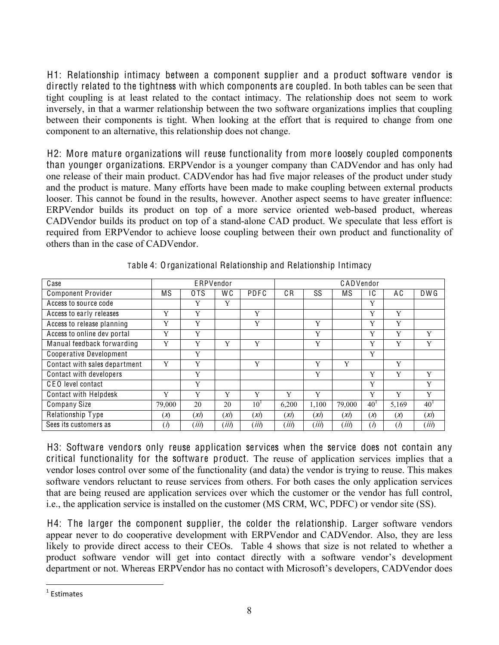H1: Relationship intimacy between a component supplier and a product software vendor is directly related to the tightness with which components are coupled. In both tables can be seen that tight coupling is at least related to the contact intimacy. The relationship does not seem to work inversely, in that a warmer relationship between the two software organizations implies that coupling between their components is tight. When looking at the effort that is required to change from one component to an alternative, this relationship does not change.

H2: More mature organizations will reuse functionality from more loosely coupled components than younger organizations. ERPVendor is a younger company than CADVendor and has only had one release of their main product. CADVendor has had five major releases of the product under study and the product is mature. Many efforts have been made to make coupling between external products looser. This cannot be found in the results, however. Another aspect seems to have greater influence: ERPVendor builds its product on top of a more service oriented web-based product, whereas CADVendor builds its product on top of a stand-alone CAD product. We speculate that less effort is required from ERPVendor to achieve loose coupling between their own product and functionality of others than in the case of CADVendor.

| Case                          |             | ERPVendor | CADVendor |          |       |       |        |                 |             |                 |
|-------------------------------|-------------|-----------|-----------|----------|-------|-------|--------|-----------------|-------------|-----------------|
|                               |             |           |           |          |       |       |        |                 |             |                 |
| <b>Component Provider</b>     | ΜS          | 0TS       | W C       | PDFC     | C R   | SS    | ΜS     | ١C              | A C         | DWG             |
| Access to source code         |             | Y         | Y         |          |       |       |        | Y               |             |                 |
| Access to early releases      | Y           | Y         |           | Y        |       |       |        | Y               | Y           |                 |
| Access to release planning    | Y           | Y         |           | Y        |       | Y     |        | Y               | Y           |                 |
| Access to online dev portal   | Y           | Y         |           |          |       | Y     |        | Y               | Y           | Y               |
| Manual feedback forwarding    | Y           | Y         | Y         | Y        |       | Y     |        | Y               | Y           | Y               |
| Cooperative Development       |             | Y         |           |          |       |       |        | Y               |             |                 |
| Contact with sales department | Y           | Y         |           | Y        |       | Y     | Y      |                 | Y           |                 |
| Contact with developers       |             | Y         |           |          |       | Y     |        | Y               | Y           | Y               |
| CEO level contact             |             | Y         |           |          |       |       |        | Y               |             | Y               |
| <b>Contact with Helpdesk</b>  | Y           | Y         | Y         | Y        | Y     | Y     |        | Y               | Y           | Y               |
| <b>Company Size</b>           | 79,000      | 20        | 20        | $10^{1}$ | 6,200 | 1,100 | 79,000 | 40 <sup>1</sup> | 5,169       | 40 <sup>1</sup> |
| Relationship Type             | (x)         | (X)       | (x)       | (X)      | (X)   | (X)   | (X)    | $\chi$          | (x)         | (XI)            |
| Sees its customers as         | $(\Lambda)$ | (iii)     | (iii)     | (iii)    | (iii) | (iii) | (iii)  | (V)             | $(\Lambda)$ | (iii)           |

Table 4: Organizational Relationship and Relationship Intimacy

H3: Software vendors only reuse application services when the service does not contain any critical functionality for the software product. The reuse of application services implies that a vendor loses control over some of the functionality (and data) the vendor is trying to reuse. This makes software vendors reluctant to reuse services from others. For both cases the only application services that are being reused are application services over which the customer or the vendor has full control, i.e., the application service is installed on the customer (MS CRM, WC, PDFC) or vendor site (SS).

H4: The larger the component supplier, the colder the relationship. Larger software vendors appear never to do cooperative development with ERPVendor and CADVendor. Also, they are less likely to provide direct access to their CEOs. Table 4 shows that size is not related to whether a product software vendor will get into contact directly with a software vendor's development department or not. Whereas ERPVendor has no contact with Microsoft's developers, CADVendor does

 $\overline{a}$ 

 $1$  Estimates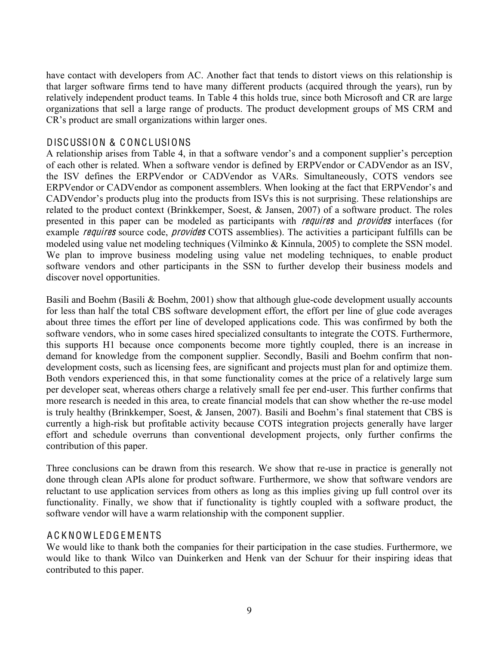have contact with developers from AC. Another fact that tends to distort views on this relationship is that larger software firms tend to have many different products (acquired through the years), run by relatively independent product teams. In Table 4 this holds true, since both Microsoft and CR are large organizations that sell a large range of products. The product development groups of MS CRM and CR's product are small organizations within larger ones.

## DISCUSSION & C ONC LUSIONS

A relationship arises from Table 4, in that a software vendor's and a component supplier's perception of each other is related. When a software vendor is defined by ERPVendor or CADVendor as an ISV, the ISV defines the ERPVendor or CADVendor as VARs. Simultaneously, COTS vendors see ERPVendor or CADVendor as component assemblers. When looking at the fact that ERPVendor's and CADVendor's products plug into the products from ISVs this is not surprising. These relationships are related to the product context (Brinkkemper, Soest, & Jansen, 2007) of a software product. The roles presented in this paper can be modeled as participants with *requires* and *provides* interfaces (for example *requires* source code, *provides* COTS assemblies). The activities a participant fulfills can be modeled using value net modeling techniques (Vilminko & Kinnula, 2005) to complete the SSN model. We plan to improve business modeling using value net modeling techniques, to enable product software vendors and other participants in the SSN to further develop their business models and discover novel opportunities.

Basili and Boehm (Basili & Boehm, 2001) show that although glue-code development usually accounts for less than half the total CBS software development effort, the effort per line of glue code averages about three times the effort per line of developed applications code. This was confirmed by both the software vendors, who in some cases hired specialized consultants to integrate the COTS. Furthermore, this supports H1 because once components become more tightly coupled, there is an increase in demand for knowledge from the component supplier. Secondly, Basili and Boehm confirm that nondevelopment costs, such as licensing fees, are significant and projects must plan for and optimize them. Both vendors experienced this, in that some functionality comes at the price of a relatively large sum per developer seat, whereas others charge a relatively small fee per end-user. This further confirms that more research is needed in this area, to create financial models that can show whether the re-use model is truly healthy (Brinkkemper, Soest, & Jansen, 2007). Basili and Boehm's final statement that CBS is currently a high-risk but profitable activity because COTS integration projects generally have larger effort and schedule overruns than conventional development projects, only further confirms the contribution of this paper.

Three conclusions can be drawn from this research. We show that re-use in practice is generally not done through clean APIs alone for product software. Furthermore, we show that software vendors are reluctant to use application services from others as long as this implies giving up full control over its functionality. Finally, we show that if functionality is tightly coupled with a software product, the software vendor will have a warm relationship with the component supplier.

## A C K NO W L EDG E M ENTS

We would like to thank both the companies for their participation in the case studies. Furthermore, we would like to thank Wilco van Duinkerken and Henk van der Schuur for their inspiring ideas that contributed to this paper.